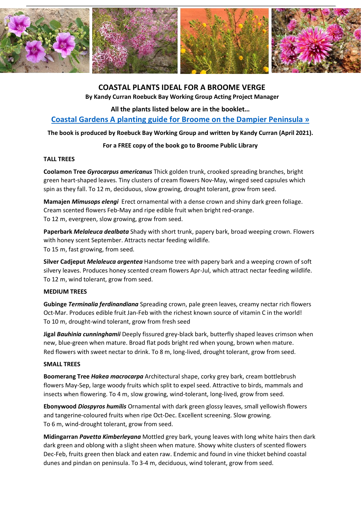

# **COASTAL PLANTS IDEAL FOR A BROOME VERGE**

**By Kandy Curran Roebuck Bay Working Group Acting Project Manager**

**All the plants listed below are in the booklet…**

**[Coastal Gardens A planting guide for Broome on the Dampier Peninsula »](https://roebuckbay.org.au/pdfs/coastal-gardens-web-version.pdf)**

**The book is produced by Roebuck Bay Working Group and written by Kandy Curran (April 2021).**

# **For a FREE copy of the book go to Broome Public Library**

#### **TALL TREES**

**Coolamon Tree** *Gyrocarpus americanus* Thick golden trunk, crooked spreading branches, bright green heart-shaped leaves. Tiny clusters of cream flowers Nov-May, winged seed capsules which spin as they fall. To 12 m, deciduous, slow growing, drought tolerant, grow from seed.

**Mamajen** *Mimusops elengi* Erect ornamental with a dense crown and shiny dark green foliage. Cream scented flowers Feb-May and ripe edible fruit when bright red-orange. To 12 m, evergreen, slow growing, grow from seed.

**Paperbark** *Melaleuca dealbata* Shady with short trunk, papery bark, broad weeping crown. Flowers with honey scent September. Attracts nectar feeding wildlife. To 15 m, fast growing, from seed.

**Silver Cadjeput** *Melaleuca argentea* Handsome tree with papery bark and a weeping crown of soft silvery leaves. Produces honey scented cream flowers Apr-Jul, which attract nectar feeding wildlife. To 12 m, wind tolerant, grow from seed.

# **MEDIUM TREES**

**Gubinge** *Terminalia ferdinandiana* Spreading crown, pale green leaves, creamy nectar rich flowers Oct-Mar. Produces edible fruit Jan-Feb with the richest known source of vitamin C in the world! To 10 m, drought-wind tolerant, grow from fresh seed

**Jigal** *Bauhinia cunninghamii* Deeply fissured grey-black bark, butterfly shaped leaves crimson when new, blue-green when mature. Broad flat pods bright red when young, brown when mature. Red flowers with sweet nectar to drink. To 8 m, long-lived, drought tolerant, grow from seed.

#### **SMALL TREES**

**Boomerang Tree** *Hakea macrocarpa* Architectural shape, corky grey bark, cream bottlebrush flowers May-Sep, large woody fruits which split to expel seed. Attractive to birds, mammals and insects when flowering. To 4 m, slow growing, wind-tolerant, long-lived, grow from seed.

**Ebonywood** *Diospyros humilis* Ornamental with dark green glossy leaves, small yellowish flowers and tangerine-coloured fruits when ripe Oct-Dec. Excellent screening. Slow growing. To 6 m, wind-drought tolerant, grow from seed.

**Midingarran** *Pavetta Kimberleyana* Mottled grey bark, young leaves with long white hairs then dark dark green and oblong with a slight sheen when mature. Showy white clusters of scented flowers Dec-Feb, fruits green then black and eaten raw. Endemic and found in vine thicket behind coastal dunes and pindan on peninsula. To 3-4 m, deciduous, wind tolerant, grow from seed.